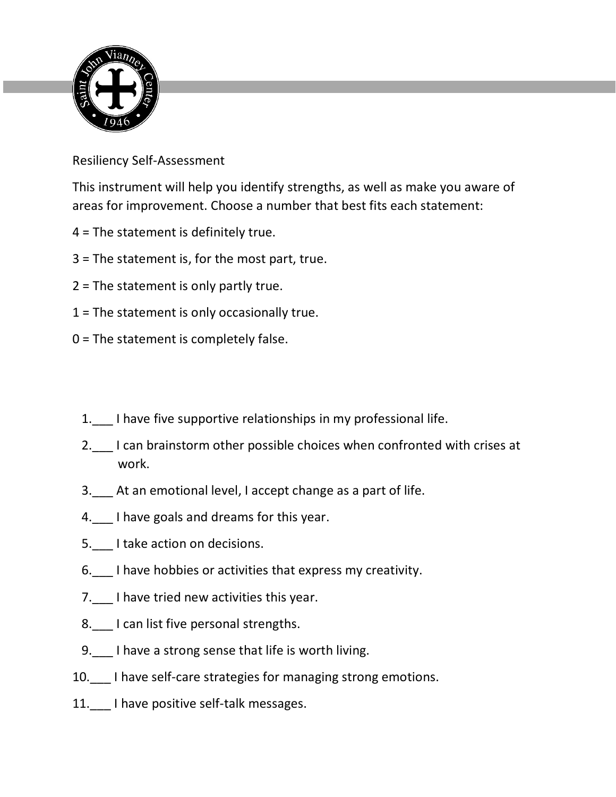

Resiliency Self-Assessment

This instrument will help you identify strengths, as well as make you aware of areas for improvement. Choose a number that best fits each statement:

- 4 = The statement is definitely true.
- 3 = The statement is, for the most part, true.
- 2 = The statement is only partly true.
- 1 = The statement is only occasionally true.
- 0 = The statement is completely false.
	- 1.\_\_\_ I have five supportive relationships in my professional life.
	- 2. I can brainstorm other possible choices when confronted with crises at work.
	- 3.\_\_\_ At an emotional level, I accept change as a part of life.
	- 4. I have goals and dreams for this year.
	- 5. I take action on decisions.
	- 6. I have hobbies or activities that express my creativity.
	- 7. I have tried new activities this year.
	- 8. I can list five personal strengths.
	- 9. I have a strong sense that life is worth living.
- 10.\_\_\_ I have self-care strategies for managing strong emotions.
- 11. I have positive self-talk messages.